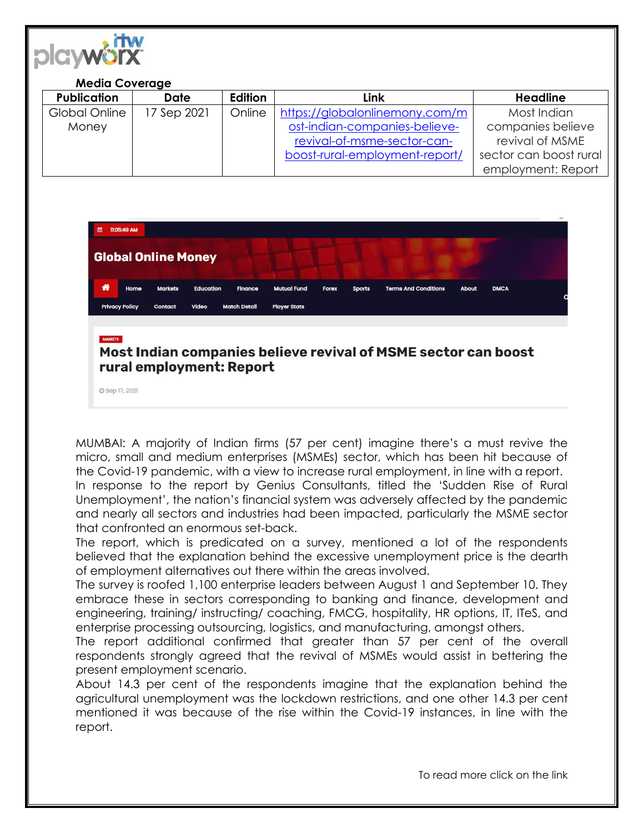

## **Media Coverage**

| <b>Publication</b> | <b>Date</b> | <b>Edition</b> | Link                           | <b>Headline</b>        |
|--------------------|-------------|----------------|--------------------------------|------------------------|
| Global Online      | 17 Sep 2021 | Online         | https://globalonlinemony.com/m | Most Indian            |
| Money              |             |                | ost-indian-companies-believe-  | companies believe      |
|                    |             |                | revival-of-msme-sector-can-    | revival of MSME        |
|                    |             |                | boost-rural-employment-report/ | sector can boost rural |
|                    |             |                |                                | employment: Report     |



## Most Indian companies believe revival of MSME sector can boost rural employment: Report

**O** Sep 17, 2021

MUMBAI: A majority of Indian firms (57 per cent) imagine there's a must revive the micro, small and medium enterprises (MSMEs) sector, which has been hit because of the Covid-19 pandemic, with a view to increase rural employment, in line with a report.

In response to the report by Genius Consultants, titled the 'Sudden Rise of Rural Unemployment', the nation's financial system was adversely affected by the pandemic and nearly all sectors and industries had been impacted, particularly the MSME sector that confronted an enormous set-back.

The report, which is predicated on a survey, mentioned a lot of the respondents believed that the explanation behind the excessive unemployment price is the dearth of employment alternatives out there within the areas involved.

The survey is roofed 1,100 enterprise leaders between August 1 and September 10. They embrace these in sectors corresponding to banking and finance, development and engineering, training/ instructing/ coaching, FMCG, hospitality, HR options, IT, ITeS, and enterprise processing outsourcing, logistics, and manufacturing, amongst others.

The report additional confirmed that greater than 57 per cent of the overall respondents strongly agreed that the revival of MSMEs would assist in bettering the present employment scenario.

About 14.3 per cent of the respondents imagine that the explanation behind the agricultural unemployment was the lockdown restrictions, and one other 14.3 per cent mentioned it was because of the rise within the Covid-19 instances, in line with the report.

To read more click on the link